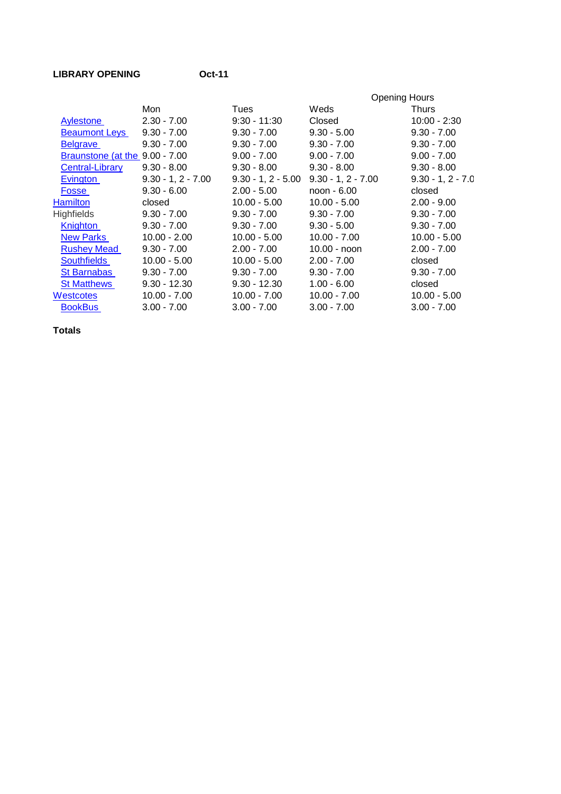## LIBRARY OPENING **OCt-11**

|                                |                      |                      | <b>Opening Hours</b> |                     |
|--------------------------------|----------------------|----------------------|----------------------|---------------------|
|                                | Mon                  | Tues                 | Weds                 | <b>Thurs</b>        |
| Aylestone                      | $2.30 - 7.00$        | $9:30 - 11:30$       | Closed               | $10:00 - 2:30$      |
| <b>Beaumont Leys</b>           | $9.30 - 7.00$        | $9.30 - 7.00$        | $9.30 - 5.00$        | $9.30 - 7.00$       |
| <b>Belgrave</b>                | $9.30 - 7.00$        | $9.30 - 7.00$        | $9.30 - 7.00$        | $9.30 - 7.00$       |
| Braunstone (at the 9.00 - 7.00 |                      | $9.00 - 7.00$        | $9.00 - 7.00$        | $9.00 - 7.00$       |
| <b>Central-Library</b>         | $9.30 - 8.00$        | $9.30 - 8.00$        | $9.30 - 8.00$        | $9.30 - 8.00$       |
| Evington                       | $9.30 - 1, 2 - 7.00$ | $9.30 - 1, 2 - 5.00$ | $9.30 - 1, 2 - 7.00$ | $9.30 - 1, 2 - 7.0$ |
| Fosse                          | $9.30 - 6.00$        | $2.00 - 5.00$        | noon - 6.00          | closed              |
| <b>Hamilton</b>                | closed               | $10.00 - 5.00$       | $10.00 - 5.00$       | $2.00 - 9.00$       |
| <b>Highfields</b>              | $9.30 - 7.00$        | $9.30 - 7.00$        | $9.30 - 7.00$        | $9.30 - 7.00$       |
| Knighton                       | $9.30 - 7.00$        | $9.30 - 7.00$        | $9.30 - 5.00$        | $9.30 - 7.00$       |
| <b>New Parks</b>               | $10.00 - 2.00$       | $10.00 - 5.00$       | $10.00 - 7.00$       | $10.00 - 5.00$      |
| <b>Rushey Mead</b>             | $9.30 - 7.00$        | $2.00 - 7.00$        | $10.00 -$ noon       | $2.00 - 7.00$       |
| <b>Southfields</b>             | $10.00 - 5.00$       | $10.00 - 5.00$       | $2.00 - 7.00$        | closed              |
| <b>St Barnabas</b>             | $9.30 - 7.00$        | $9.30 - 7.00$        | $9.30 - 7.00$        | $9.30 - 7.00$       |
| <b>St Matthews</b>             | $9.30 - 12.30$       | $9.30 - 12.30$       | $1.00 - 6.00$        | closed              |
| Westcotes                      | $10.00 - 7.00$       | $10.00 - 7.00$       | $10.00 - 7.00$       | $10.00 - 5.00$      |
| <b>BookBus</b>                 | $3.00 - 7.00$        | $3.00 - 7.00$        | $3.00 - 7.00$        | $3.00 - 7.00$       |
|                                |                      |                      |                      |                     |

**Totals**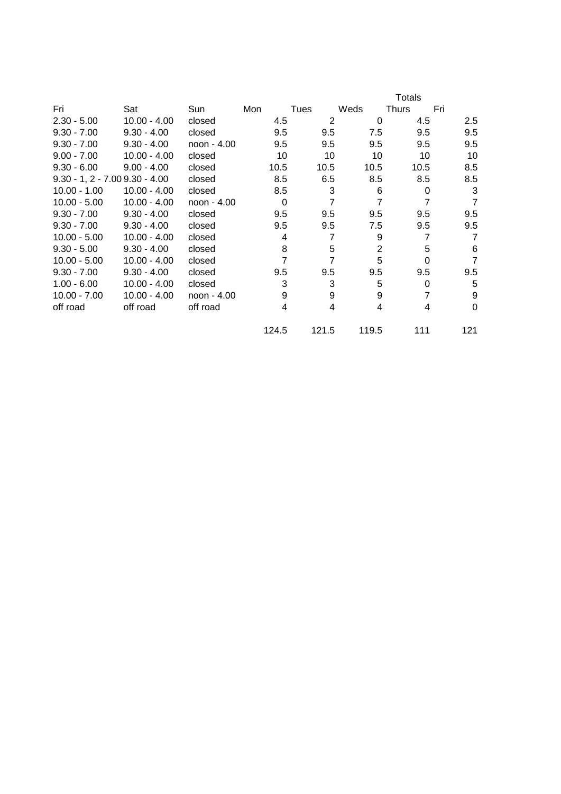|                                 |                |             |          |       |                | <b>Totals</b>  |                |
|---------------------------------|----------------|-------------|----------|-------|----------------|----------------|----------------|
| Fri                             | Sat            | Sun         | Mon      | Tues  | Weds           | Thurs          | Fri            |
| $2.30 - 5.00$                   | $10.00 - 4.00$ | closed      | 4.5      | 2     | 0              | 4.5            | 2.5            |
| $9.30 - 7.00$                   | $9.30 - 4.00$  | closed      | 9.5      | 9.5   | 7.5            | 9.5            | 9.5            |
| $9.30 - 7.00$                   | $9.30 - 4.00$  | noon - 4.00 | 9.5      | 9.5   | 9.5            | 9.5            | 9.5            |
| $9.00 - 7.00$                   | $10.00 - 4.00$ | closed      | 10       | 10    | 10             | 10             | 10             |
| $9.30 - 6.00$                   | $9.00 - 4.00$  | closed      | 10.5     | 10.5  | 10.5           | 10.5           | 8.5            |
| $9.30 - 1, 2 - 7.009.30 - 4.00$ |                | closed      | 8.5      | 6.5   | 8.5            | 8.5            | 8.5            |
| $10.00 - 1.00$                  | $10.00 - 4.00$ | closed      | 8.5      | 3     | 6              | $\Omega$       | 3              |
| $10.00 - 5.00$                  | $10.00 - 4.00$ | noon - 4.00 | $\Omega$ | 7     | 7              | $\overline{7}$ | $\overline{7}$ |
| $9.30 - 7.00$                   | $9.30 - 4.00$  | closed      | 9.5      | 9.5   | 9.5            | 9.5            | 9.5            |
| $9.30 - 7.00$                   | $9.30 - 4.00$  | closed      | 9.5      | 9.5   | 7.5            | 9.5            | 9.5            |
| $10.00 - 5.00$                  | $10.00 - 4.00$ | closed      | 4        | 7     | 9              | $\overline{7}$ | 7              |
| $9.30 - 5.00$                   | $9.30 - 4.00$  | closed      | 8        | 5     | $\overline{2}$ | 5              | 6              |
| $10.00 - 5.00$                  | $10.00 - 4.00$ | closed      | 7        | 7     | 5              | $\Omega$       | $\overline{7}$ |
| $9.30 - 7.00$                   | $9.30 - 4.00$  | closed      | 9.5      | 9.5   | 9.5            | 9.5            | 9.5            |
| $1.00 - 6.00$                   | $10.00 - 4.00$ | closed      | 3        | 3     | 5              | $\Omega$       | 5              |
| $10.00 - 7.00$                  | $10.00 - 4.00$ | noon - 4.00 | 9        | 9     | 9              | $\overline{7}$ | 9              |
| off road                        | off road       | off road    | 4        | 4     | 4              | 4              | 0              |
|                                 |                |             | 124.5    | 121.5 | 119.5          | 111            | 121            |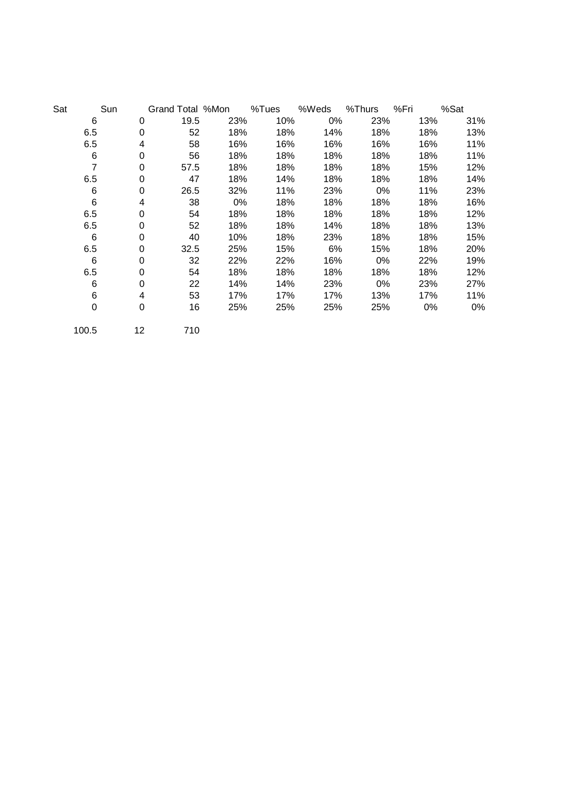| Sat | Sun            |    | Grand Total %Mon |     | %Tues | %Weds | %Thurs | %Fri | %Sat |
|-----|----------------|----|------------------|-----|-------|-------|--------|------|------|
|     | 6              | 0  | 19.5             | 23% | 10%   | 0%    | 23%    | 13%  | 31%  |
|     | 6.5            | 0  | 52               | 18% | 18%   | 14%   | 18%    | 18%  | 13%  |
|     | 6.5            | 4  | 58               | 16% | 16%   | 16%   | 16%    | 16%  | 11%  |
|     | 6              | 0  | 56               | 18% | 18%   | 18%   | 18%    | 18%  | 11%  |
|     | $\overline{7}$ | 0  | 57.5             | 18% | 18%   | 18%   | 18%    | 15%  | 12%  |
|     | 6.5            | 0  | 47               | 18% | 14%   | 18%   | 18%    | 18%  | 14%  |
|     | 6              | 0  | 26.5             | 32% | 11%   | 23%   | 0%     | 11%  | 23%  |
|     | 6              | 4  | 38               | 0%  | 18%   | 18%   | 18%    | 18%  | 16%  |
|     | 6.5            | 0  | 54               | 18% | 18%   | 18%   | 18%    | 18%  | 12%  |
|     | 6.5            | 0  | 52               | 18% | 18%   | 14%   | 18%    | 18%  | 13%  |
|     | 6              | 0  | 40               | 10% | 18%   | 23%   | 18%    | 18%  | 15%  |
|     | 6.5            | 0  | 32.5             | 25% | 15%   | 6%    | 15%    | 18%  | 20%  |
|     | 6              | 0  | 32               | 22% | 22%   | 16%   | 0%     | 22%  | 19%  |
|     | 6.5            | 0  | 54               | 18% | 18%   | 18%   | 18%    | 18%  | 12%  |
|     | 6              | 0  | 22               | 14% | 14%   | 23%   | 0%     | 23%  | 27%  |
|     | 6              | 4  | 53               | 17% | 17%   | 17%   | 13%    | 17%  | 11%  |
|     | $\mathbf 0$    | 0  | 16               | 25% | 25%   | 25%   | 25%    | 0%   | 0%   |
|     | 100.5          | 12 | 710              |     |       |       |        |      |      |